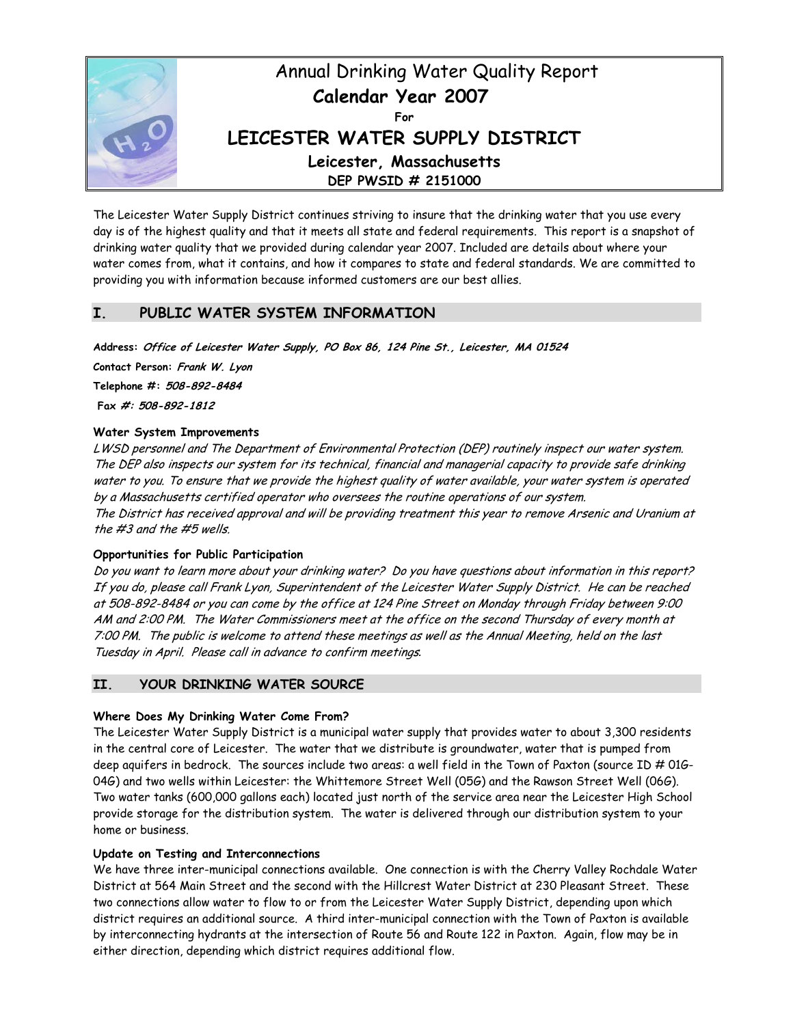

The Leicester Water Supply District continues striving to insure that the drinking water that you use every day is of the highest quality and that it meets all state and federal requirements. This report is a snapshot of drinking water quality that we provided during calendar year 2007. Included are details about where your water comes from, what it contains, and how it compares to state and federal standards. We are committed to providing you with information because informed customers are our best allies.

# **I. PUBLIC WATER SYSTEM INFORMATION**

**Address: Office of Leicester Water Supply, PO Box 86, 124 Pine St., Leicester, MA 01524 Contact Person: Frank W. Lyon**

**Telephone #: 508-892-8484** 

 **Fax #: 508-892-1812**

# **Water System Improvements**

LWSD personnel and The Department of Environmental Protection (DEP) routinely inspect our water system. The DEP also inspects our system for its technical, financial and managerial capacity to provide safe drinking water to you. To ensure that we provide the highest quality of water available, your water system is operated by a Massachusetts certified operator who oversees the routine operations of our system. The District has received approval and will be providing treatment this year to remove Arsenic and Uranium at the #3 and the #5 wells.

## **Opportunities for Public Participation**

Do you want to learn more about your drinking water? Do you have questions about information in this report? If you do, please call Frank Lyon, Superintendent of the Leicester Water Supply District. He can be reached at 508-892-8484 or you can come by the office at 124 Pine Street on Monday through Friday between 9:00 AM and 2:00 PM. The Water Commissioners meet at the office on the second Thursday of every month at 7:00 PM. The public is welcome to attend these meetings as well as the Annual Meeting, held on the last Tuesday in April. Please call in advance to confirm meetings*.* 

# **II. YOUR DRINKING WATER SOURCE**

## **Where Does My Drinking Water Come From?**

The Leicester Water Supply District is a municipal water supply that provides water to about 3,300 residents in the central core of Leicester. The water that we distribute is groundwater, water that is pumped from deep aquifers in bedrock. The sources include two areas: a well field in the Town of Paxton (source ID # 01G-04G) and two wells within Leicester: the Whittemore Street Well (05G) and the Rawson Street Well (06G). Two water tanks (600,000 gallons each) located just north of the service area near the Leicester High School provide storage for the distribution system. The water is delivered through our distribution system to your home or business.

## **Update on Testing and Interconnections**

We have three inter-municipal connections available. One connection is with the Cherry Valley Rochdale Water District at 564 Main Street and the second with the Hillcrest Water District at 230 Pleasant Street. These two connections allow water to flow to or from the Leicester Water Supply District, depending upon which district requires an additional source. A third inter-municipal connection with the Town of Paxton is available by interconnecting hydrants at the intersection of Route 56 and Route 122 in Paxton. Again, flow may be in either direction, depending which district requires additional flow.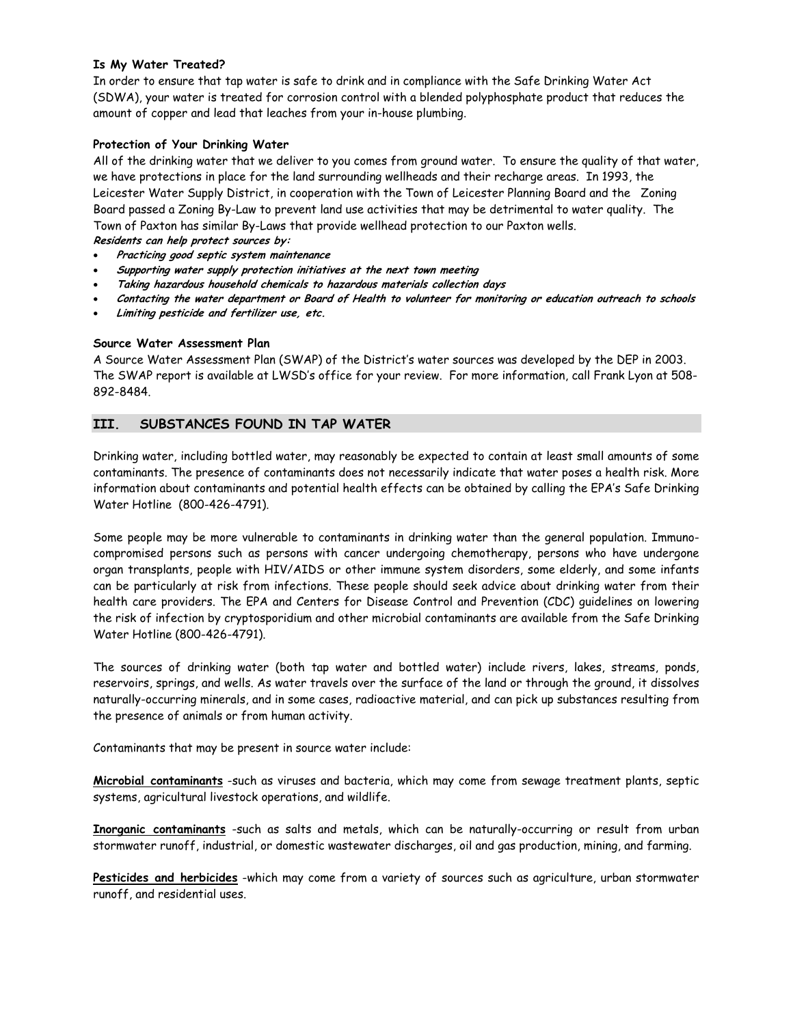## **Is My Water Treated?**

In order to ensure that tap water is safe to drink and in compliance with the Safe Drinking Water Act (SDWA), your water is treated for corrosion control with a blended polyphosphate product that reduces the amount of copper and lead that leaches from your in-house plumbing.

### **Protection of Your Drinking Water**

All of the drinking water that we deliver to you comes from ground water. To ensure the quality of that water, we have protections in place for the land surrounding wellheads and their recharge areas. In 1993, the Leicester Water Supply District, in cooperation with the Town of Leicester Planning Board and the Zoning Board passed a Zoning By-Law to prevent land use activities that may be detrimental to water quality. The Town of Paxton has similar By-Laws that provide wellhead protection to our Paxton wells. **Residents can help protect sources by:** 

- **Practicing good septic system maintenance**
- **Supporting water supply protection initiatives at the next town meeting**
- **Taking hazardous household chemicals to hazardous materials collection days**
- **Contacting the water department or Board of Health to volunteer for monitoring or education outreach to schools**
- **Limiting pesticide and fertilizer use, etc.**

#### **Source Water Assessment Plan**

A Source Water Assessment Plan (SWAP) of the District's water sources was developed by the DEP in 2003. The SWAP report is available at LWSD's office for your review. For more information, call Frank Lyon at 508- 892-8484.

# **III. SUBSTANCES FOUND IN TAP WATER**

Drinking water, including bottled water, may reasonably be expected to contain at least small amounts of some contaminants. The presence of contaminants does not necessarily indicate that water poses a health risk. More information about contaminants and potential health effects can be obtained by calling the EPA's Safe Drinking Water Hotline (800-426-4791).

Some people may be more vulnerable to contaminants in drinking water than the general population. Immunocompromised persons such as persons with cancer undergoing chemotherapy, persons who have undergone organ transplants, people with HIV/AIDS or other immune system disorders, some elderly, and some infants can be particularly at risk from infections. These people should seek advice about drinking water from their health care providers. The EPA and Centers for Disease Control and Prevention (CDC) guidelines on lowering the risk of infection by cryptosporidium and other microbial contaminants are available from the Safe Drinking Water Hotline (800-426-4791).

The sources of drinking water (both tap water and bottled water) include rivers, lakes, streams, ponds, reservoirs, springs, and wells. As water travels over the surface of the land or through the ground, it dissolves naturally-occurring minerals, and in some cases, radioactive material, and can pick up substances resulting from the presence of animals or from human activity.

Contaminants that may be present in source water include:

**Microbial contaminants** -such as viruses and bacteria, which may come from sewage treatment plants, septic systems, agricultural livestock operations, and wildlife.

**Inorganic contaminants** -such as salts and metals, which can be naturally-occurring or result from urban stormwater runoff, industrial, or domestic wastewater discharges, oil and gas production, mining, and farming.

**Pesticides and herbicides** -which may come from a variety of sources such as agriculture, urban stormwater runoff, and residential uses.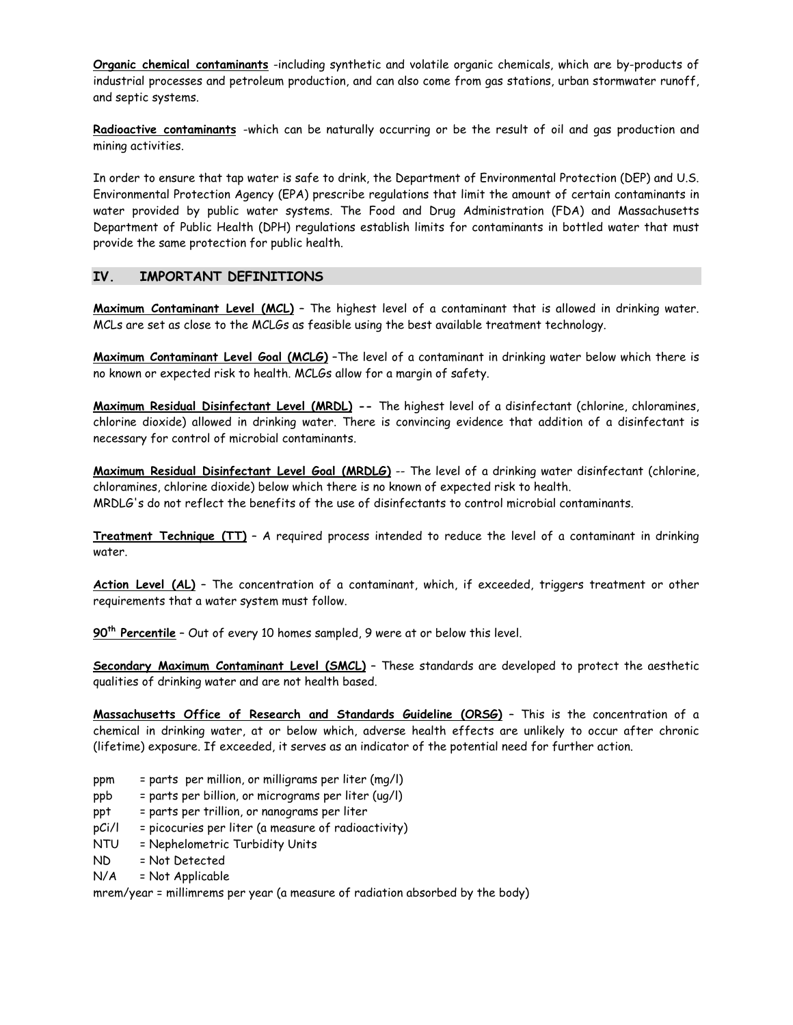**Organic chemical contaminants** -including synthetic and volatile organic chemicals, which are by-products of industrial processes and petroleum production, and can also come from gas stations, urban stormwater runoff, and septic systems.

**Radioactive contaminants** -which can be naturally occurring or be the result of oil and gas production and mining activities.

In order to ensure that tap water is safe to drink, the Department of Environmental Protection (DEP) and U.S. Environmental Protection Agency (EPA) prescribe regulations that limit the amount of certain contaminants in water provided by public water systems. The Food and Drug Administration (FDA) and Massachusetts Department of Public Health (DPH) regulations establish limits for contaminants in bottled water that must provide the same protection for public health.

# **IV. IMPORTANT DEFINITIONS**

**Maximum Contaminant Level (MCL)** – The highest level of a contaminant that is allowed in drinking water. MCLs are set as close to the MCLGs as feasible using the best available treatment technology.

**Maximum Contaminant Level Goal (MCLG)** –The level of a contaminant in drinking water below which there is no known or expected risk to health. MCLGs allow for a margin of safety.

**Maximum Residual Disinfectant Level (MRDL) --** The highest level of a disinfectant (chlorine, chloramines, chlorine dioxide) allowed in drinking water. There is convincing evidence that addition of a disinfectant is necessary for control of microbial contaminants.

**Maximum Residual Disinfectant Level Goal (MRDLG)** -- The level of a drinking water disinfectant (chlorine, chloramines, chlorine dioxide) below which there is no known of expected risk to health. MRDLG's do not reflect the benefits of the use of disinfectants to control microbial contaminants.

**Treatment Technique (TT)** – A required process intended to reduce the level of a contaminant in drinking water.

**Action Level (AL)** – The concentration of a contaminant, which, if exceeded, triggers treatment or other requirements that a water system must follow.

**90th Percentile** – Out of every 10 homes sampled, 9 were at or below this level.

**Secondary Maximum Contaminant Level (SMCL)** – These standards are developed to protect the aesthetic qualities of drinking water and are not health based.

**Massachusetts Office of Research and Standards Guideline (ORSG)** – This is the concentration of a chemical in drinking water, at or below which, adverse health effects are unlikely to occur after chronic (lifetime) exposure. If exceeded, it serves as an indicator of the potential need for further action.

- ppm = parts per million, or milligrams per liter (mg/l)
- ppb = parts per billion, or micrograms per liter (ug/l)
- ppt = parts per trillion, or nanograms per liter
- pCi/l = picocuries per liter (a measure of radioactivity)
- NTU = Nephelometric Turbidity Units
- ND = Not Detected
- $N/A$  = Not Applicable

mrem/year = millimrems per year (a measure of radiation absorbed by the body)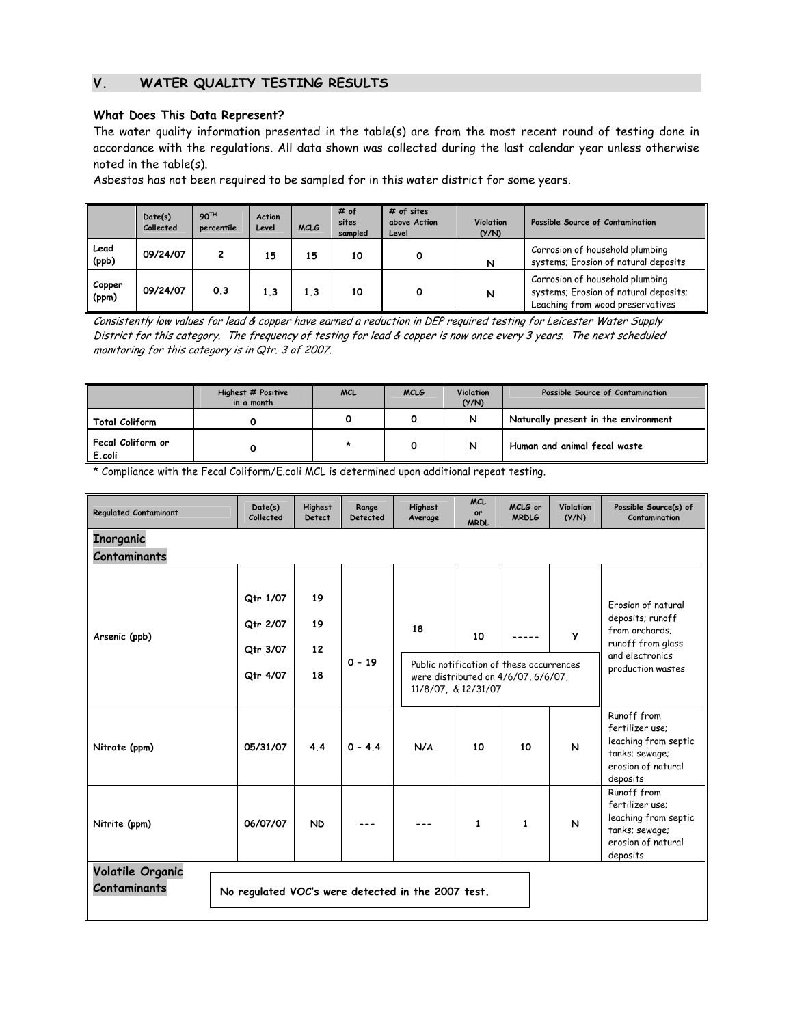# **V. WATER QUALITY TESTING RESULTS**

#### **What Does This Data Represent?**

The water quality information presented in the table(s) are from the most recent round of testing done in accordance with the regulations. All data shown was collected during the last calendar year unless otherwise noted in the table(s).

Asbestos has not been required to be sampled for in this water district for some years.

|                 | Date(s)<br>Collected | 90TH<br>percentile | <b>Action</b><br>Level | <b>MCLG</b> | # of<br>sites<br>sampled | # of sites<br>above Action<br>Level | <b>Violation</b><br>(Y/N) | Possible Source of Contamination                                                                             |
|-----------------|----------------------|--------------------|------------------------|-------------|--------------------------|-------------------------------------|---------------------------|--------------------------------------------------------------------------------------------------------------|
| Lead<br>(ppb)   | 09/24/07             |                    | 15                     | 15          | 10                       | Ο                                   | N                         | Corrosion of household plumbing<br>systems; Erosion of natural deposits                                      |
| Copper<br>(ppm) | 09/24/07             | 0.3                | 1.3                    | 1.3         | 10                       | ٥                                   | N                         | Corrosion of household plumbing<br>systems; Erosion of natural deposits;<br>Leaching from wood preservatives |

Consistently low values for lead & copper have earned a reduction in DEP required testing for Leicester Water Supply District for this category. The frequency of testing for lead & copper is now once every 3 years. The next scheduled monitoring for this category is in Qtr. 3 of 2007.

| Highest # Positive<br>in a month   |  | <b>MCL</b> | <b>Violation</b><br><b>MCLG</b><br>(Y/N) |   | Possible Source of Contamination     |  |
|------------------------------------|--|------------|------------------------------------------|---|--------------------------------------|--|
| <b>Total Coliform</b>              |  |            |                                          | N | Naturally present in the environment |  |
| <b>Fecal Coliform or</b><br>E.coli |  | $\star$    |                                          | N | Human and animal fecal waste         |  |

\* Compliance with the Fecal Coliform/E.coli MCL is determined upon additional repeat testing.

| <b>Regulated Contaminant</b>                                                                  | Date(s)<br>Collected                         | <b>Highest</b><br>Detect | Range<br>Detected | <b>Highest</b><br>Average | <b>MCL</b><br>or<br><b>MRDL</b>                                                                              | MCLG or<br><b>MRDLG</b>                                                                                               | Violation<br>(Y/N) | Possible Source(s) of<br>Contamination                                                                     |  |  |
|-----------------------------------------------------------------------------------------------|----------------------------------------------|--------------------------|-------------------|---------------------------|--------------------------------------------------------------------------------------------------------------|-----------------------------------------------------------------------------------------------------------------------|--------------------|------------------------------------------------------------------------------------------------------------|--|--|
| Inorganic<br><b>Contaminants</b>                                                              |                                              |                          |                   |                           |                                                                                                              |                                                                                                                       |                    |                                                                                                            |  |  |
| Arsenic (ppb)                                                                                 | Qtr 1/07<br>Qtr 2/07<br>Qtr 3/07<br>Qtr 4/07 | 19<br>19<br>12<br>18     | $0 - 19$          | 18                        | 10<br>Public notification of these occurrences<br>were distributed on 4/6/07, 6/6/07,<br>11/8/07, & 12/31/07 | Frosion of natural<br>deposits; runoff<br>from orchards;<br>runoff from glass<br>and electronics<br>production wastes |                    |                                                                                                            |  |  |
| Nitrate (ppm)                                                                                 | 05/31/07                                     | 4.4                      | $0 - 4.4$         | N/A                       | 10                                                                                                           | 10                                                                                                                    | N                  | Runoff from<br>fertilizer use:<br>leaching from septic<br>tanks; sewage;<br>erosion of natural<br>deposits |  |  |
| Nitrite (ppm)                                                                                 | 06/07/07                                     | <b>ND</b>                |                   |                           | 1                                                                                                            | $\mathbf{1}$                                                                                                          | N                  | Runoff from<br>fertilizer use:<br>leaching from septic<br>tanks; sewage;<br>erosion of natural<br>deposits |  |  |
| <b>Volatile Organic</b><br>Contaminants<br>No regulated VOC's were detected in the 2007 test. |                                              |                          |                   |                           |                                                                                                              |                                                                                                                       |                    |                                                                                                            |  |  |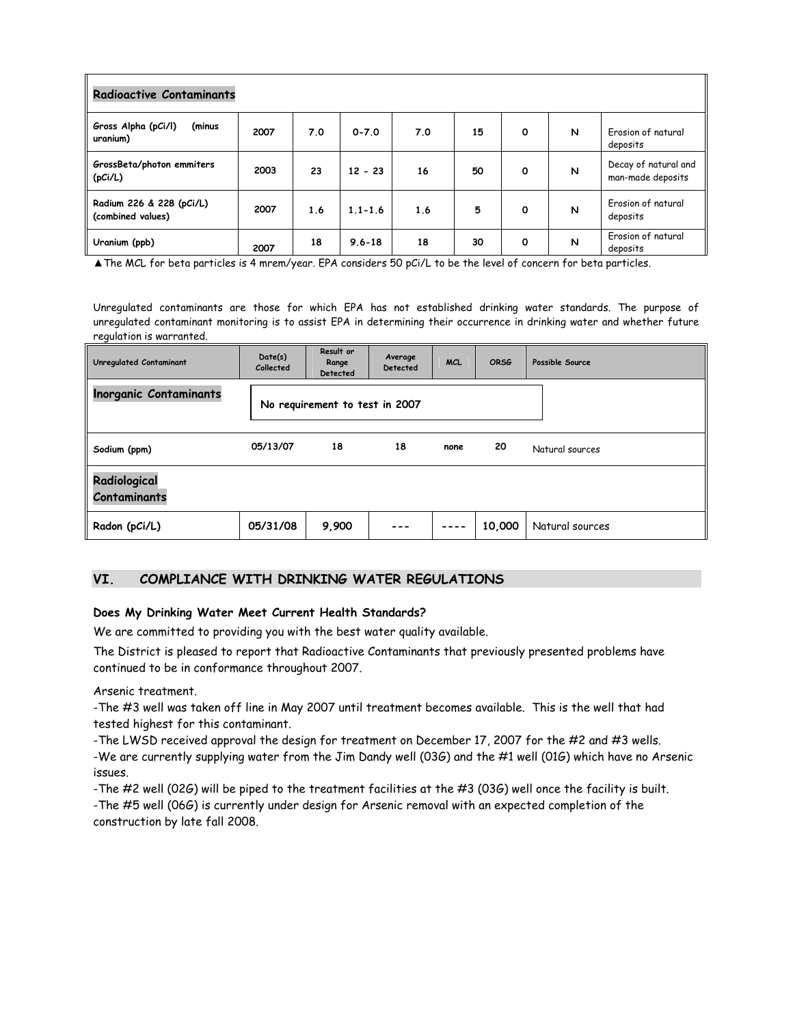| <b>Radioactive Contaminants</b>               |      |     |             |     |    |   |   |                                           |  |
|-----------------------------------------------|------|-----|-------------|-----|----|---|---|-------------------------------------------|--|
| Gross Alpha (pCi/l)<br>(minus<br>uranium)     | 2007 | 7.0 | $0 - 7.0$   | 7.0 | 15 | 0 | N | Erosion of natural<br>deposits            |  |
| GrossBeta/photon emmiters<br>(pCi/L)          | 2003 | 23  | $12 - 23$   | 16  | 50 | 0 | N | Decay of natural and<br>man-made deposits |  |
| Radium 226 & 228 (pCi/L)<br>(combined values) | 2007 | 1.6 | $1.1 - 1.6$ | 1.6 | 5  | 0 | N | Erosion of natural<br>deposits            |  |
| Uranium (ppb)                                 | 2007 | 18  | $9.6 - 18$  | 18  | 30 | 0 | N | Erosion of natural<br>deposits            |  |

▲The MCL for beta particles is 4 mrem/year. EPA considers 50 pCi/L to be the level of concern for beta particles.

Unregulated contaminants are those for which EPA has not established drinking water standards. The purpose of unregulated contaminant monitoring is to assist EPA in determining their occurrence in drinking water and whether future regulation is warranted.

| Unregulated Contaminant             | Date(s)<br>Collected | Result or<br>Range<br>Detected | Average<br>Detected |      | <b>ORSG</b> | Possible Source |
|-------------------------------------|----------------------|--------------------------------|---------------------|------|-------------|-----------------|
| <b>Inorganic Contaminants</b>       |                      | No requirement to test in 2007 |                     |      |             |                 |
| Sodium (ppm)                        | 05/13/07             | 18                             | 18                  | none | 20          | Natural sources |
| Radiological<br><b>Contaminants</b> |                      |                                |                     |      |             |                 |
| Radon (pCi/L)                       | 05/31/08             | 9,900                          |                     | ---- | 10,000      | Natural sources |

# **VI. COMPLIANCE WITH DRINKING WATER REGULATIONS**

#### **Does My Drinking Water Meet Current Health Standards?**

We are committed to providing you with the best water quality available.

The District is pleased to report that Radioactive Contaminants that previously presented problems have continued to be in conformance throughout 2007.

Arsenic treatment.

-The #3 well was taken off line in May 2007 until treatment becomes available. This is the well that had tested highest for this contaminant.

-The LWSD received approval the design for treatment on December 17, 2007 for the #2 and #3 wells.

-We are currently supplying water from the Jim Dandy well (03G) and the #1 well (01G) which have no Arsenic issues.

-The #2 well (02G) will be piped to the treatment facilities at the #3 (03G) well once the facility is built.

-The #5 well (06G) is currently under design for Arsenic removal with an expected completion of the construction by late fall 2008.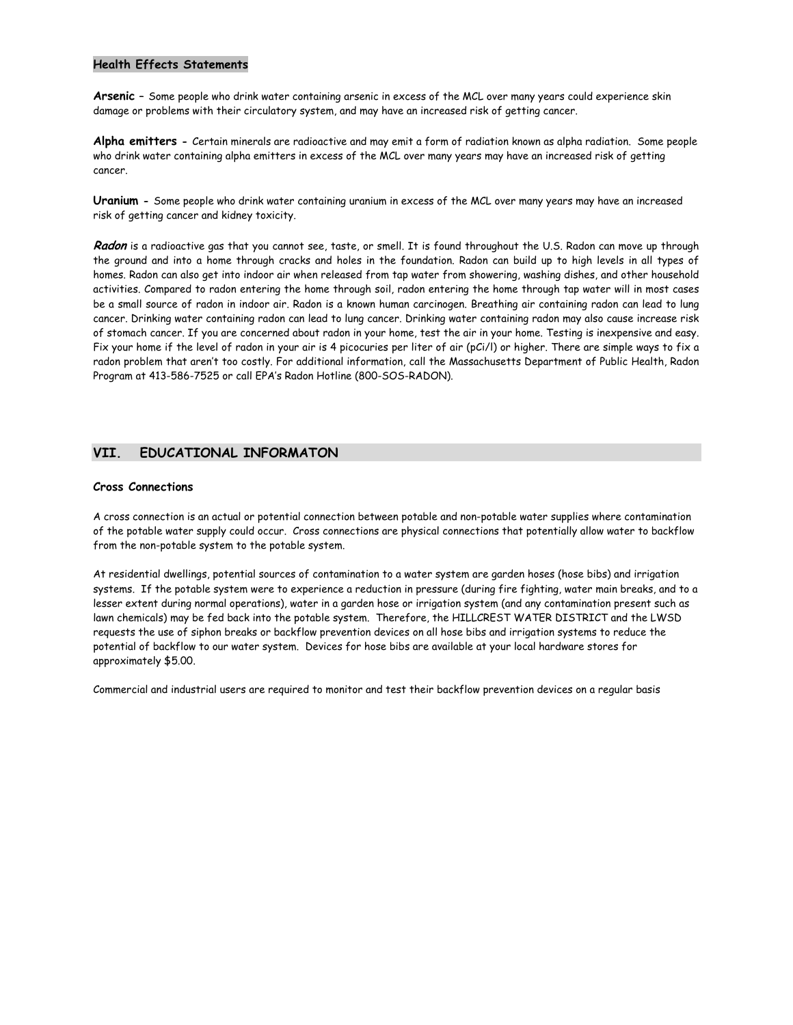#### **Health Effects Statements**

**Arsenic –** Some people who drink water containing arsenic in excess of the MCL over many years could experience skin damage or problems with their circulatory system, and may have an increased risk of getting cancer.

**Alpha emitters -** Certain minerals are radioactive and may emit a form of radiation known as alpha radiation. Some people who drink water containing alpha emitters in excess of the MCL over many years may have an increased risk of getting cancer.

**Uranium -** Some people who drink water containing uranium in excess of the MCL over many years may have an increased risk of getting cancer and kidney toxicity.

**Radon** is a radioactive gas that you cannot see, taste, or smell. It is found throughout the U.S. Radon can move up through the ground and into a home through cracks and holes in the foundation. Radon can build up to high levels in all types of homes. Radon can also get into indoor air when released from tap water from showering, washing dishes, and other household activities. Compared to radon entering the home through soil, radon entering the home through tap water will in most cases be a small source of radon in indoor air. Radon is a known human carcinogen. Breathing air containing radon can lead to lung cancer. Drinking water containing radon can lead to lung cancer. Drinking water containing radon may also cause increase risk of stomach cancer. If you are concerned about radon in your home, test the air in your home. Testing is inexpensive and easy. Fix your home if the level of radon in your air is 4 picocuries per liter of air (pCi/l) or higher. There are simple ways to fix a radon problem that aren't too costly. For additional information, call the Massachusetts Department of Public Health, Radon Program at 413-586-7525 or call EPA's Radon Hotline (800-SOS-RADON).

## **VII. EDUCATIONAL INFORMATON**

#### **Cross Connections**

A cross connection is an actual or potential connection between potable and non-potable water supplies where contamination of the potable water supply could occur. Cross connections are physical connections that potentially allow water to backflow from the non-potable system to the potable system.

At residential dwellings, potential sources of contamination to a water system are garden hoses (hose bibs) and irrigation systems. If the potable system were to experience a reduction in pressure (during fire fighting, water main breaks, and to a lesser extent during normal operations), water in a garden hose or irrigation system (and any contamination present such as lawn chemicals) may be fed back into the potable system. Therefore, the HILLCREST WATER DISTRICT and the LWSD requests the use of siphon breaks or backflow prevention devices on all hose bibs and irrigation systems to reduce the potential of backflow to our water system. Devices for hose bibs are available at your local hardware stores for approximately \$5.00.

Commercial and industrial users are required to monitor and test their backflow prevention devices on a regular basis